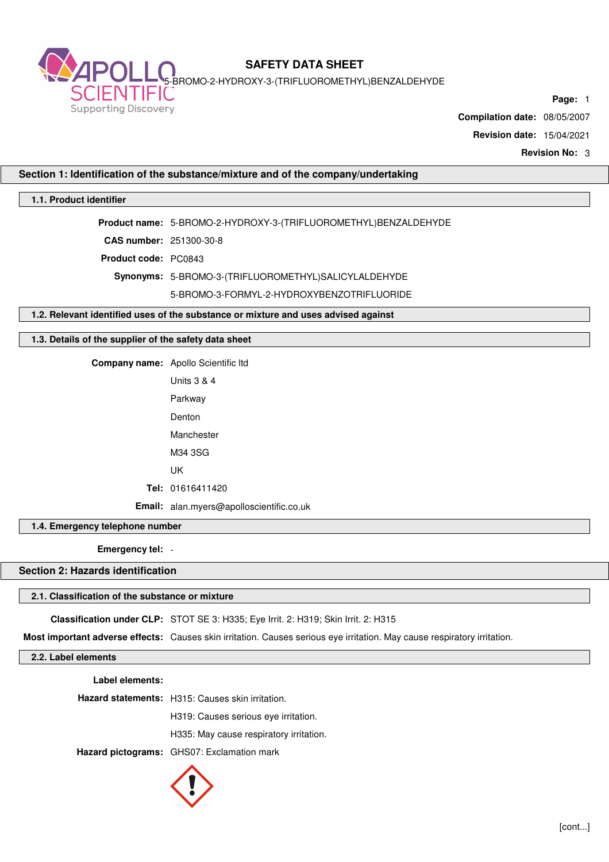

5-BROMO-2-HYDROXY-3-(TRIFLUOROMETHYL)BENZALDEHYDE

**Page:** 1

**Compilation date:** 08/05/2007

**Revision date:** 15/04/2021

**Revision No:** 3

## **Section 1: Identification of the substance/mixture and of the company/undertaking**

## **1.1. Product identifier**

**Product name:** 5-BROMO-2-HYDROXY-3-(TRIFLUOROMETHYL)BENZALDEHYDE **CAS number:** 251300-30-8

**Product code:** PC0843

**Synonyms:** 5-BROMO-3-(TRIFLUOROMETHYL)SALICYLALDEHYDE

5-BROMO-3-FORMYL-2-HYDROXYBENZOTRIFLUORIDE

**1.2. Relevant identified uses of the substance or mixture and uses advised against**

### **1.3. Details of the supplier of the safety data sheet**

**Company name:** Apollo Scientific ltd

| Units 3 & 4                              |
|------------------------------------------|
| Parkway                                  |
| Denton                                   |
| Manchester                               |
| M34 3SG                                  |
| IJΚ                                      |
| Tel: 01616411420                         |
| Email: alan.myers@apolloscientific.co.uk |

**1.4. Emergency telephone number**

**Emergency tel:** -

**Section 2: Hazards identification**

#### **2.1. Classification of the substance or mixture**

**Classification under CLP:** STOT SE 3: H335; Eye Irrit. 2: H319; Skin Irrit. 2: H315

**Most important adverse effects:** Causes skin irritation. Causes serious eye irritation. May cause respiratory irritation.

**2.2. Label elements**

**Label elements:**

**Hazard statements:** H315: Causes skin irritation.

H319: Causes serious eye irritation.

H335: May cause respiratory irritation.

**Hazard pictograms:** GHS07: Exclamation mark

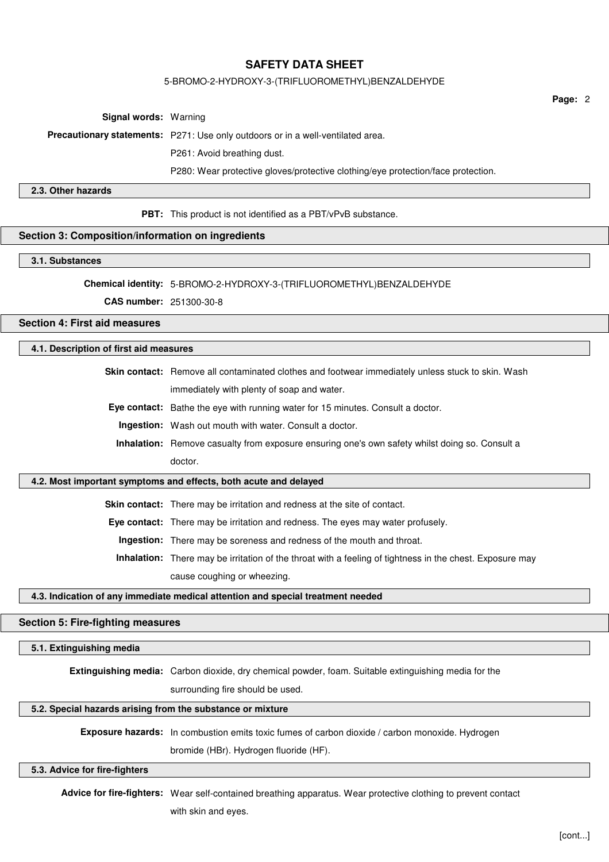#### 5-BROMO-2-HYDROXY-3-(TRIFLUOROMETHYL)BENZALDEHYDE

**Page:** 2

**Signal words:** Warning

**Precautionary statements:** P271: Use only outdoors or in a well-ventilated area.

P261: Avoid breathing dust.

P280: Wear protective gloves/protective clothing/eye protection/face protection.

### **2.3. Other hazards**

**PBT:** This product is not identified as a PBT/vPvB substance.

#### **Section 3: Composition/information on ingredients**

#### **3.1. Substances**

#### **Chemical identity:** 5-BROMO-2-HYDROXY-3-(TRIFLUOROMETHYL)BENZALDEHYDE

**CAS number:** 251300-30-8

# **Section 4: First aid measures**

#### **4.1. Description of first aid measures**

Skin contact: Remove all contaminated clothes and footwear immediately unless stuck to skin. Wash immediately with plenty of soap and water.

**Eye contact:** Bathe the eye with running water for 15 minutes. Consult a doctor.

**Ingestion:** Wash out mouth with water. Consult a doctor.

**Inhalation:** Remove casualty from exposure ensuring one's own safety whilst doing so. Consult a doctor.

#### **4.2. Most important symptoms and effects, both acute and delayed**

**Skin contact:** There may be irritation and redness at the site of contact.

**Eye contact:** There may be irritation and redness. The eyes may water profusely.

**Ingestion:** There may be soreness and redness of the mouth and throat.

**Inhalation:** There may be irritation of the throat with a feeling of tightness in the chest. Exposure may cause coughing or wheezing.

#### **4.3. Indication of any immediate medical attention and special treatment needed**

## **Section 5: Fire-fighting measures**

#### **5.1. Extinguishing media**

**Extinguishing media:** Carbon dioxide, dry chemical powder, foam. Suitable extinguishing media for the

surrounding fire should be used.

#### **5.2. Special hazards arising from the substance or mixture**

**Exposure hazards:** In combustion emits toxic fumes of carbon dioxide / carbon monoxide. Hydrogen

bromide (HBr). Hydrogen fluoride (HF).

## **5.3. Advice for fire-fighters**

**Advice for fire-fighters:** Wear self-contained breathing apparatus. Wear protective clothing to prevent contact with skin and eyes.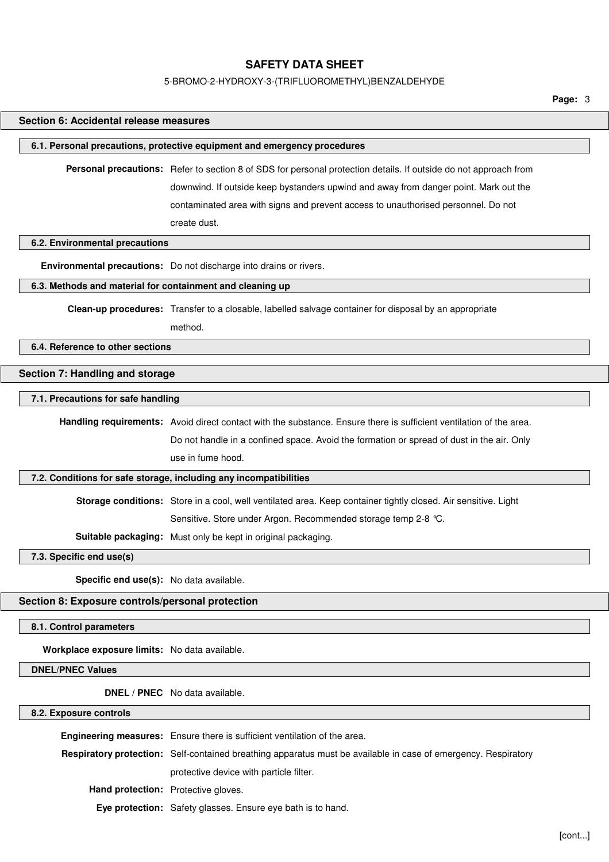#### 5-BROMO-2-HYDROXY-3-(TRIFLUOROMETHYL)BENZALDEHYDE

**Page:** 3

# **Section 6: Accidental release measures 6.1. Personal precautions, protective equipment and emergency procedures Personal precautions:** Refer to section 8 of SDS for personal protection details. If outside do not approach from downwind. If outside keep bystanders upwind and away from danger point. Mark out the contaminated area with signs and prevent access to unauthorised personnel. Do not create dust. **6.2. Environmental precautions Environmental precautions:** Do not discharge into drains or rivers. **6.3. Methods and material for containment and cleaning up Clean-up procedures:** Transfer to a closable, labelled salvage container for disposal by an appropriate method. **6.4. Reference to other sections Section 7: Handling and storage 7.1. Precautions for safe handling Handling requirements:** Avoid direct contact with the substance. Ensure there is sufficient ventilation of the area. Do not handle in a confined space. Avoid the formation or spread of dust in the air. Only use in fume hood. **7.2. Conditions for safe storage, including any incompatibilities Storage conditions:** Store in a cool, well ventilated area. Keep container tightly closed. Air sensitive. Light Sensitive. Store under Argon. Recommended storage temp 2-8 °C. **Suitable packaging:** Must only be kept in original packaging. **7.3. Specific end use(s) Specific end use(s):** No data available. **Section 8: Exposure controls/personal protection 8.1. Control parameters Workplace exposure limits:** No data available. **DNEL/PNEC Values DNEL / PNEC** No data available. **8.2. Exposure controls**

**Engineering measures:** Ensure there is sufficient ventilation of the area. **Respiratory protection:** Self-contained breathing apparatus must be available in case of emergency. Respiratory protective device with particle filter. **Hand protection:** Protective gloves. **Eye protection:** Safety glasses. Ensure eye bath is to hand.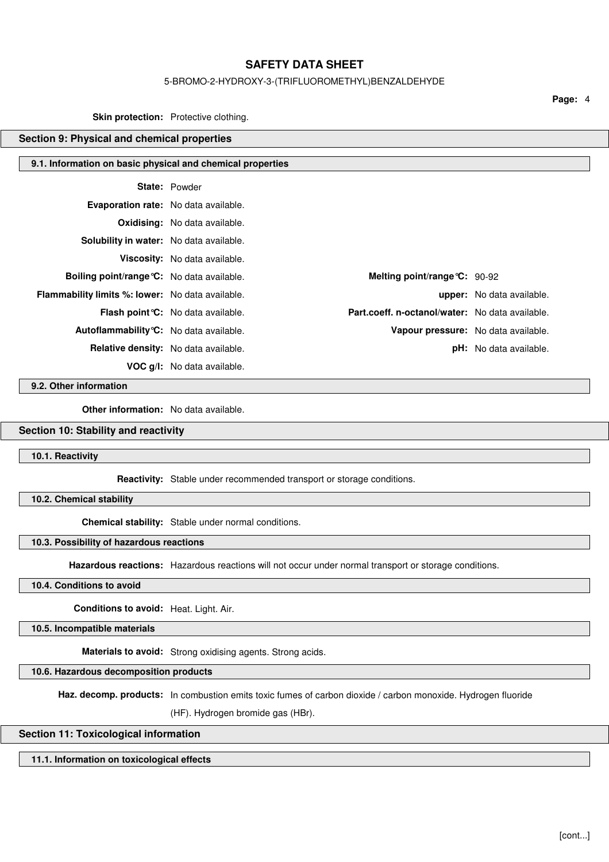#### 5-BROMO-2-HYDROXY-3-(TRIFLUOROMETHYL)BENZALDEHYDE

**Page:** 4

**Skin protection:** Protective clothing.

## **Section 9: Physical and chemical properties**

#### **9.1. Information on basic physical and chemical properties**

|                                                         | <b>State: Powder</b>                      |                                                 |                                  |
|---------------------------------------------------------|-------------------------------------------|-------------------------------------------------|----------------------------------|
| <b>Evaporation rate:</b> No data available.             |                                           |                                                 |                                  |
|                                                         | <b>Oxidising:</b> No data available.      |                                                 |                                  |
| <b>Solubility in water:</b> No data available.          |                                           |                                                 |                                  |
|                                                         | Viscosity: No data available.             |                                                 |                                  |
| <b>Boiling point/range °C:</b> No data available.       |                                           | Melting point/range $C: 90-92$                  |                                  |
| <b>Flammability limits %: lower:</b> No data available. |                                           |                                                 | <b>upper:</b> No data available. |
|                                                         | <b>Flash point °C:</b> No data available. | Part.coeff. n-octanol/water: No data available. |                                  |
| Autoflammability °C: No data available.                 |                                           | Vapour pressure: No data available.             |                                  |
| <b>Relative density:</b> No data available.             |                                           |                                                 | <b>pH:</b> No data available.    |
|                                                         | <b>VOC g/l:</b> No data available.        |                                                 |                                  |

**9.2. Other information**

**Other information:** No data available.

## **Section 10: Stability and reactivity**

**10.1. Reactivity**

**Reactivity:** Stable under recommended transport or storage conditions.

**10.2. Chemical stability**

**Chemical stability:** Stable under normal conditions.

### **10.3. Possibility of hazardous reactions**

**Hazardous reactions:** Hazardous reactions will not occur under normal transport or storage conditions.

#### **10.4. Conditions to avoid**

**Conditions to avoid:** Heat. Light. Air.

**10.5. Incompatible materials**

**Materials to avoid:** Strong oxidising agents. Strong acids.

**10.6. Hazardous decomposition products**

**Haz. decomp. products:** In combustion emits toxic fumes of carbon dioxide / carbon monoxide. Hydrogen fluoride

(HF). Hydrogen bromide gas (HBr).

## **Section 11: Toxicological information**

**11.1. Information on toxicological effects**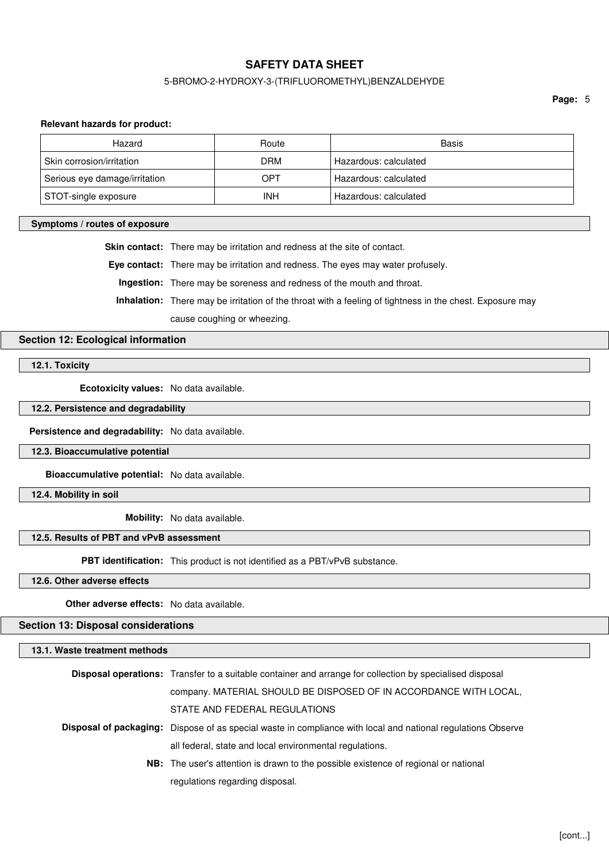## 5-BROMO-2-HYDROXY-3-(TRIFLUOROMETHYL)BENZALDEHYDE

**Page:** 5

#### **Relevant hazards for product:**

| Hazard                        | Route      | Basis                 |
|-------------------------------|------------|-----------------------|
| Skin corrosion/irritation     | <b>DRM</b> | Hazardous: calculated |
| Serious eye damage/irritation | OPT        | Hazardous: calculated |
| STOT-single exposure          | <b>INH</b> | Hazardous: calculated |

#### **Symptoms / routes of exposure**

**Skin contact:** There may be irritation and redness at the site of contact.

**Eye contact:** There may be irritation and redness. The eyes may water profusely.

**Ingestion:** There may be soreness and redness of the mouth and throat.

**Inhalation:** There may be irritation of the throat with a feeling of tightness in the chest. Exposure may

cause coughing or wheezing.

## **Section 12: Ecological information**

**12.1. Toxicity**

**Ecotoxicity values:** No data available.

**12.2. Persistence and degradability**

**Persistence and degradability:** No data available.

**12.3. Bioaccumulative potential**

**Bioaccumulative potential:** No data available.

**12.4. Mobility in soil**

**Mobility:** No data available.

## **12.5. Results of PBT and vPvB assessment**

**PBT identification:** This product is not identified as a PBT/vPvB substance.

**12.6. Other adverse effects**

**Other adverse effects:** No data available.

**Section 13: Disposal considerations**

**13.1. Waste treatment methods**

| <b>Disposal operations:</b> Transfer to a suitable container and arrange for collection by specialised disposal     |
|---------------------------------------------------------------------------------------------------------------------|
| company. MATERIAL SHOULD BE DISPOSED OF IN ACCORDANCE WITH LOCAL,                                                   |
| STATE AND FEDERAL REGULATIONS                                                                                       |
| <b>Disposal of packaging:</b> Dispose of as special waste in compliance with local and national regulations Observe |
| all federal, state and local environmental regulations.                                                             |
| NB: The user's attention is drawn to the possible existence of regional or national                                 |
| regulations regarding disposal.                                                                                     |